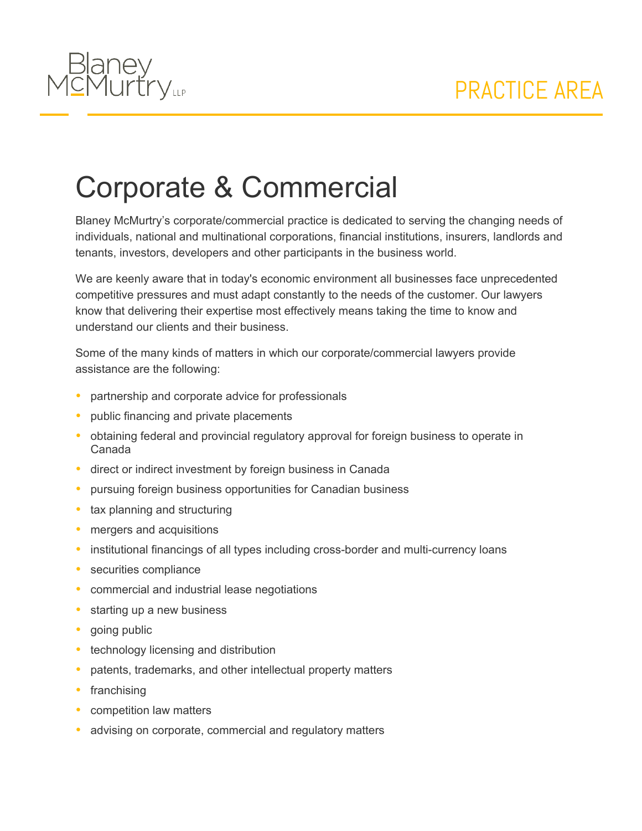

## Corporate & Commercial

Blaney McMurtry's corporate/commercial practice is dedicated to serving the changing needs of individuals, national and multinational corporations, financial institutions, insurers, landlords and tenants, investors, developers and other participants in the business world.

We are keenly aware that in today's economic environment all businesses face unprecedented competitive pressures and must adapt constantly to the needs of the customer. Our lawyers know that delivering their expertise most effectively means taking the time to know and understand our clients and their business.

Some of the many kinds of matters in which our corporate/commercial lawyers provide assistance are the following:

- partnership and corporate advice for professionals
- public financing and private placements
- obtaining federal and provincial regulatory approval for foreign business to operate in Canada
- direct or indirect investment by foreign business in Canada
- pursuing foreign business opportunities for Canadian business
- tax planning and structuring
- mergers and acquisitions
- institutional financings of all types including cross-border and multi-currency loans
- securities compliance
- commercial and industrial lease negotiations
- starting up a new business
- going public
- technology licensing and distribution
- patents, trademarks, and other intellectual property matters
- franchising
- competition law matters
- advising on corporate, commercial and regulatory matters